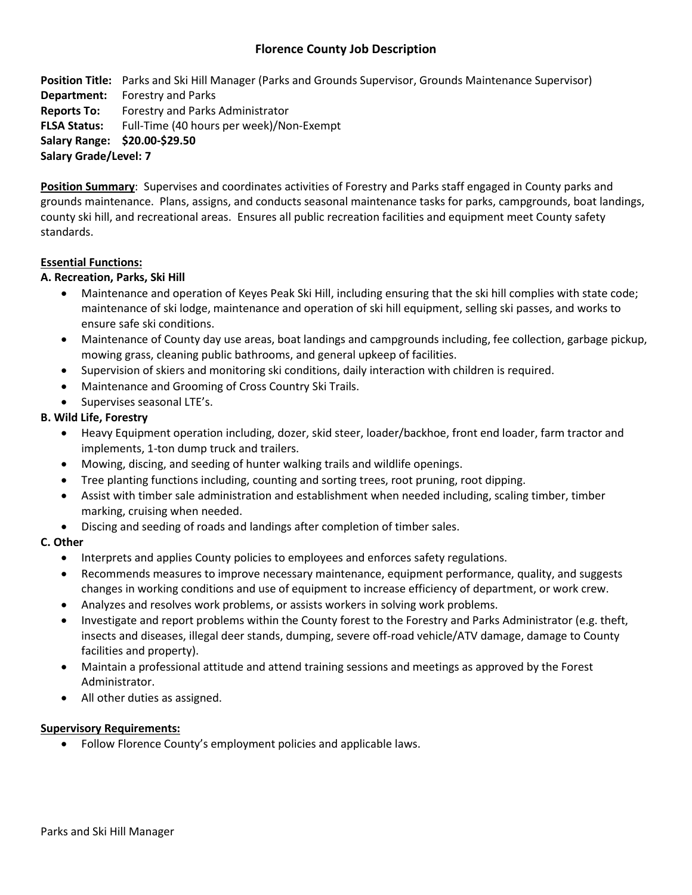# **Florence County Job Description**

**Position Title:** Parks and Ski Hill Manager (Parks and Grounds Supervisor, Grounds Maintenance Supervisor) **Department:** Forestry and Parks **Reports To:** Forestry and Parks Administrator **FLSA Status:** Full-Time (40 hours per week)/Non-Exempt **Salary Range: \$20.00-\$29.50 Salary Grade/Level: 7**

**Position Summary**: Supervises and coordinates activities of Forestry and Parks staff engaged in County parks and grounds maintenance. Plans, assigns, and conducts seasonal maintenance tasks for parks, campgrounds, boat landings, county ski hill, and recreational areas. Ensures all public recreation facilities and equipment meet County safety standards.

## **Essential Functions:**

## **A. Recreation, Parks, Ski Hill**

- Maintenance and operation of Keyes Peak Ski Hill, including ensuring that the ski hill complies with state code; maintenance of ski lodge, maintenance and operation of ski hill equipment, selling ski passes, and works to ensure safe ski conditions.
- Maintenance of County day use areas, boat landings and campgrounds including, fee collection, garbage pickup, mowing grass, cleaning public bathrooms, and general upkeep of facilities.
- Supervision of skiers and monitoring ski conditions, daily interaction with children is required.
- Maintenance and Grooming of Cross Country Ski Trails.
- Supervises seasonal LTE's.

## **B. Wild Life, Forestry**

- Heavy Equipment operation including, dozer, skid steer, loader/backhoe, front end loader, farm tractor and implements, 1-ton dump truck and trailers.
- Mowing, discing, and seeding of hunter walking trails and wildlife openings.
- Tree planting functions including, counting and sorting trees, root pruning, root dipping.
- Assist with timber sale administration and establishment when needed including, scaling timber, timber marking, cruising when needed.
- Discing and seeding of roads and landings after completion of timber sales.

### **C. Other**

- Interprets and applies County policies to employees and enforces safety regulations.
- Recommends measures to improve necessary maintenance, equipment performance, quality, and suggests changes in working conditions and use of equipment to increase efficiency of department, or work crew.
- Analyzes and resolves work problems, or assists workers in solving work problems.
- Investigate and report problems within the County forest to the Forestry and Parks Administrator (e.g. theft, insects and diseases, illegal deer stands, dumping, severe off-road vehicle/ATV damage, damage to County facilities and property).
- Maintain a professional attitude and attend training sessions and meetings as approved by the Forest Administrator.
- All other duties as assigned.

### **Supervisory Requirements:**

Follow Florence County's employment policies and applicable laws.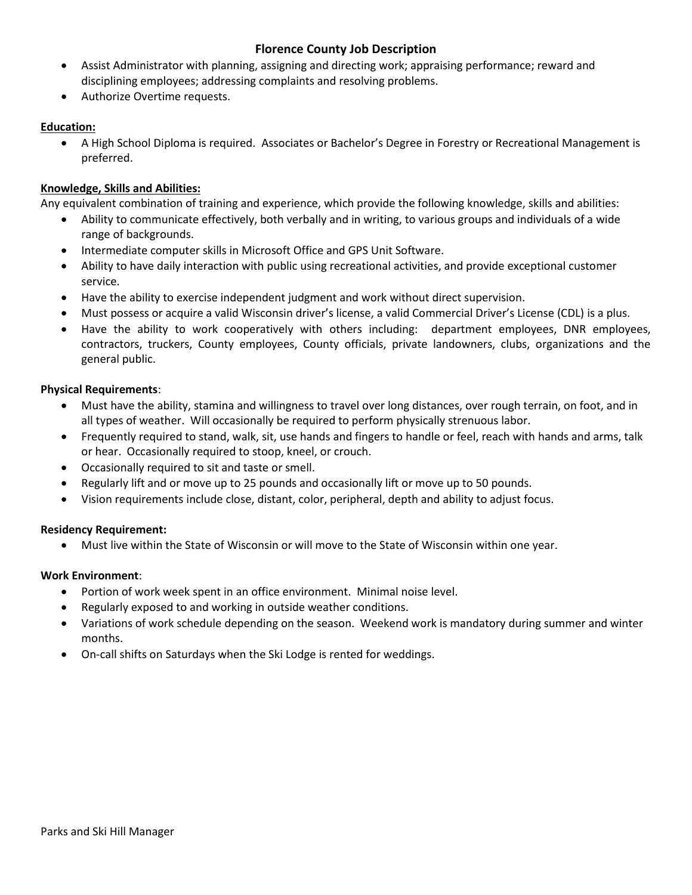# **Florence County Job Description**

- Assist Administrator with planning, assigning and directing work; appraising performance; reward and disciplining employees; addressing complaints and resolving problems.
- Authorize Overtime requests.

## **Education:**

 A High School Diploma is required. Associates or Bachelor's Degree in Forestry or Recreational Management is preferred.

## **Knowledge, Skills and Abilities:**

Any equivalent combination of training and experience, which provide the following knowledge, skills and abilities:

- Ability to communicate effectively, both verbally and in writing, to various groups and individuals of a wide range of backgrounds.
- Intermediate computer skills in Microsoft Office and GPS Unit Software.
- Ability to have daily interaction with public using recreational activities, and provide exceptional customer service.
- Have the ability to exercise independent judgment and work without direct supervision.
- Must possess or acquire a valid Wisconsin driver's license, a valid Commercial Driver's License (CDL) is a plus.
- Have the ability to work cooperatively with others including: department employees, DNR employees, contractors, truckers, County employees, County officials, private landowners, clubs, organizations and the general public.

### **Physical Requirements**:

- Must have the ability, stamina and willingness to travel over long distances, over rough terrain, on foot, and in all types of weather. Will occasionally be required to perform physically strenuous labor.
- Frequently required to stand, walk, sit, use hands and fingers to handle or feel, reach with hands and arms, talk or hear. Occasionally required to stoop, kneel, or crouch.
- Occasionally required to sit and taste or smell.
- Regularly lift and or move up to 25 pounds and occasionally lift or move up to 50 pounds.
- Vision requirements include close, distant, color, peripheral, depth and ability to adjust focus.

### **Residency Requirement:**

Must live within the State of Wisconsin or will move to the State of Wisconsin within one year.

### **Work Environment**:

- Portion of work week spent in an office environment. Minimal noise level.
- Regularly exposed to and working in outside weather conditions.
- Variations of work schedule depending on the season. Weekend work is mandatory during summer and winter months.
- On-call shifts on Saturdays when the Ski Lodge is rented for weddings.